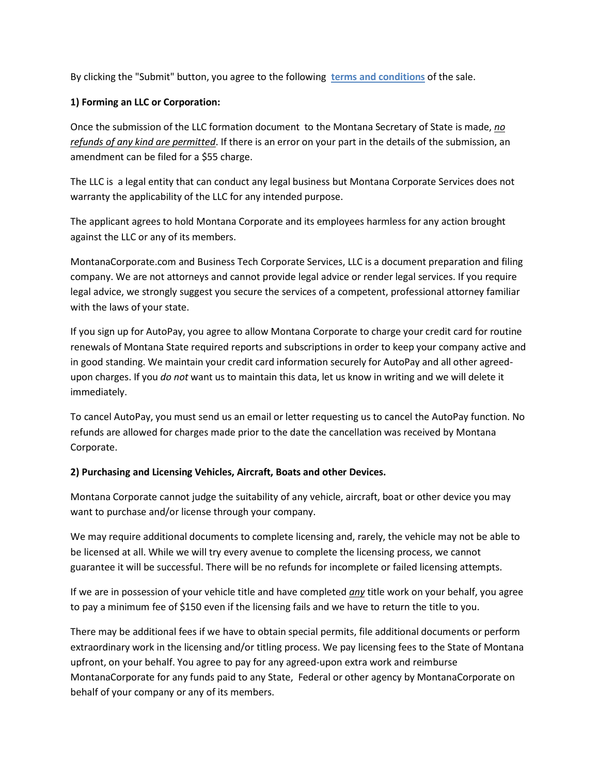By clicking the "Submit" button, you agree to the following **terms and conditions** of the sale.

## **1) Forming an LLC or Corporation:**

Once the submission of the LLC formation document to the Montana Secretary of State is made, *no refunds of any kind are permitted*. If there is an error on your part in the details of the submission, an amendment can be filed for a \$55 charge.

The LLC is a legal entity that can conduct any legal business but Montana Corporate Services does not warranty the applicability of the LLC for any intended purpose.

The applicant agrees to hold Montana Corporate and its employees harmless for any action brought against the LLC or any of its members.

MontanaCorporate.com and Business Tech Corporate Services, LLC is a document preparation and filing company. We are not attorneys and cannot provide legal advice or render legal services. If you require legal advice, we strongly suggest you secure the services of a competent, professional attorney familiar with the laws of your state.

If you sign up for AutoPay, you agree to allow Montana Corporate to charge your credit card for routine renewals of Montana State required reports and subscriptions in order to keep your company active and in good standing. We maintain your credit card information securely for AutoPay and all other agreedupon charges. If you *do not* want us to maintain this data, let us know in writing and we will delete it immediately.

To cancel AutoPay, you must send us an email or letter requesting us to cancel the AutoPay function. No refunds are allowed for charges made prior to the date the cancellation was received by Montana Corporate.

## **2) Purchasing and Licensing Vehicles, Aircraft, Boats and other Devices.**

Montana Corporate cannot judge the suitability of any vehicle, aircraft, boat or other device you may want to purchase and/or license through your company.

We may require additional documents to complete licensing and, rarely, the vehicle may not be able to be licensed at all. While we will try every avenue to complete the licensing process, we cannot guarantee it will be successful. There will be no refunds for incomplete or failed licensing attempts.

If we are in possession of your vehicle title and have completed *any* title work on your behalf, you agree to pay a minimum fee of \$150 even if the licensing fails and we have to return the title to you.

There may be additional fees if we have to obtain special permits, file additional documents or perform extraordinary work in the licensing and/or titling process. We pay licensing fees to the State of Montana upfront, on your behalf. You agree to pay for any agreed-upon extra work and reimburse MontanaCorporate for any funds paid to any State, Federal or other agency by MontanaCorporate on behalf of your company or any of its members.